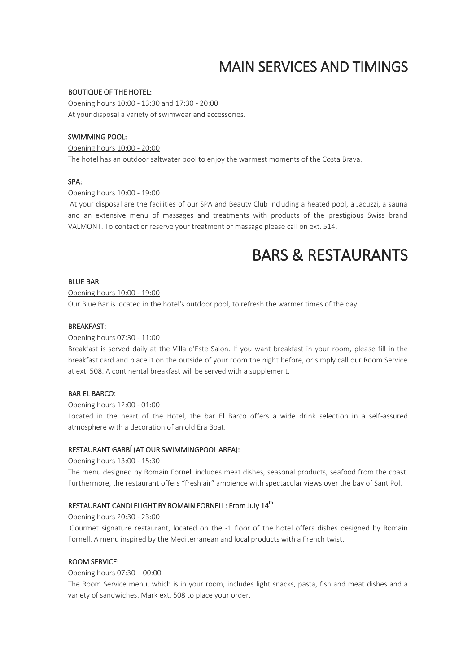# MAIN SERVICES AND TIMINGS

### BOUTIQUE OF THE HOTEL:

Opening hours 10:00 - 13:30 and 17:30 - 20:00 At your disposal a variety of swimwear and accessories.

#### SWIMMING POOL:

Opening hours 10:00 - 20:00 The hotel has an outdoor saltwater pool to enjoy the warmest moments of the Costa Brava.

#### SPA:

#### Opening hours 10:00 - 19:00

At your disposal are the facilities of our SPA and Beauty Club including a heated pool, a Jacuzzi, a sauna and an extensive menu of massages and treatments with products of the prestigious Swiss brand VALMONT. To contact or reserve your treatment or massage please call on ext. 514.

# BARS & RESTAURANTS

#### BLUE BAR:

#### Opening hours 10:00 - 19:00

Our Blue Bar is located in the hotel's outdoor pool, to refresh the warmer times of the day.

#### BREAKFAST:

#### Opening hours 07:30 - 11:00

Breakfast is served daily at the Villa d'Este Salon. If you want breakfast in your room, please fill in the breakfast card and place it on the outside of your room the night before, or simply call our Room Service at ext. 508. A continental breakfast will be served with a supplement.

#### BAR EL BARCO:

#### Opening hours 12:00 - 01:00

Located in the heart of the Hotel, the bar El Barco offers a wide drink selection in a self-assured atmosphere with a decoration of an old Era Boat.

### RESTAURANT GARBÍ (AT OUR SWIMMINGPOOL AREA):

#### Opening hours 13:00 - 15:30

The menu designed by Romain Fornell includes meat dishes, seasonal products, seafood from the coast. Furthermore, the restaurant offers "fresh air" ambience with spectacular views over the bay of Sant Pol.

# RESTAURANT CANDLELIGHT BY ROMAIN FORNELL: From July 14<sup>th</sup>

#### Opening hours 20:30 - 23:00

Gourmet signature restaurant, located on the -1 floor of the hotel offers dishes designed by Romain Fornell. A menu inspired by the Mediterranean and local products with a French twist.

#### ROOM SERVICE:

#### Opening hours 07:30 – 00:00

The Room Service menu, which is in your room, includes light snacks, pasta, fish and meat dishes and a variety of sandwiches. Mark ext. 508 to place your order.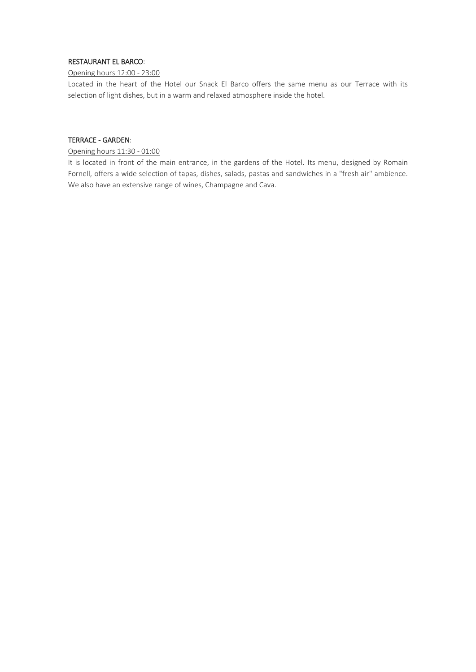# RESTAURANT EL BARCO:

#### Opening hours 12:00 - 23:00

Located in the heart of the Hotel our Snack El Barco offers the same menu as our Terrace with its selection of light dishes, but in a warm and relaxed atmosphere inside the hotel.

#### TERRACE - GARDEN:

#### Opening hours 11:30 - 01:00

It is located in front of the main entrance, in the gardens of the Hotel. Its menu, designed by Romain Fornell, offers a wide selection of tapas, dishes, salads, pastas and sandwiches in a "fresh air" ambience. We also have an extensive range of wines, Champagne and Cava.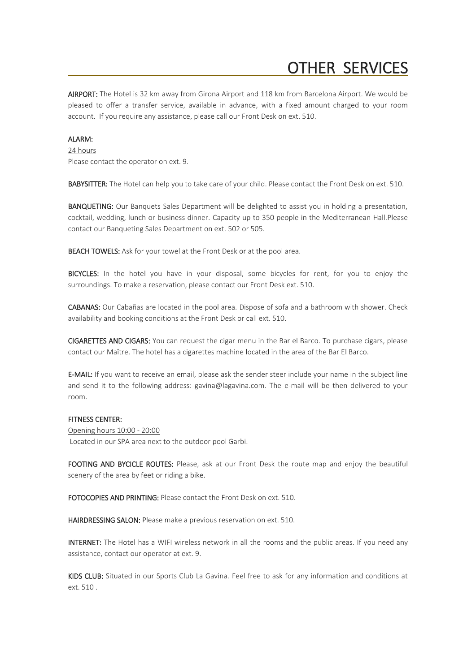# OTHER SERVICES

AIRPORT: The Hotel is 32 km away from Girona Airport and 118 km from Barcelona Airport. We would be pleased to offer a transfer service, available in advance, with a fixed amount charged to your room account. If you require any assistance, please call our Front Desk on ext. 510.

#### ALARM:

24 hours Please contact the operator on ext. 9.

BABYSITTER: The Hotel can help you to take care of your child. Please contact the Front Desk on ext. 510.

BANQUETING: Our Banquets Sales Department will be delighted to assist you in holding a presentation, cocktail, wedding, lunch or business dinner. Capacity up to 350 people in the Mediterranean Hall.Please contact our Banqueting Sales Department on ext. 502 or 505.

BEACH TOWELS: Ask for your towel at the Front Desk or at the pool area.

BICYCLES: In the hotel you have in your disposal, some bicycles for rent, for you to enjoy the surroundings. To make a reservation, please contact our Front Desk ext. 510.

CABANAS: Our Cabañas are located in the pool area. Dispose of sofa and a bathroom with shower. Check availability and booking conditions at the Front Desk or call ext. 510.

CIGARETTES AND CIGARS: You can request the cigar menu in the Bar el Barco. To purchase cigars, please contact our Maître. The hotel has a cigarettes machine located in the area of the Bar El Barco.

E-MAIL: If you want to receive an email, please ask the sender steer include your name in the subject line and send it to the following address: gavina@lagavina.com. The e-mail will be then delivered to your room.

#### FITNESS CENTER:

Opening hours 10:00 - 20:00 Located in our SPA area next to the outdoor pool Garbi.

FOOTING AND BYCICLE ROUTES: Please, ask at our Front Desk the route map and enjoy the beautiful scenery of the area by feet or riding a bike.

FOTOCOPIES AND PRINTING: Please contact the Front Desk on ext. 510.

HAIRDRESSING SALON: Please make a previous reservation on ext. 510.

INTERNET: The Hotel has a WIFI wireless network in all the rooms and the public areas. If you need any assistance, contact our operator at ext. 9.

KIDS CLUB: Situated in our Sports Club La Gavina. Feel free to ask for any information and conditions at ext. 510 .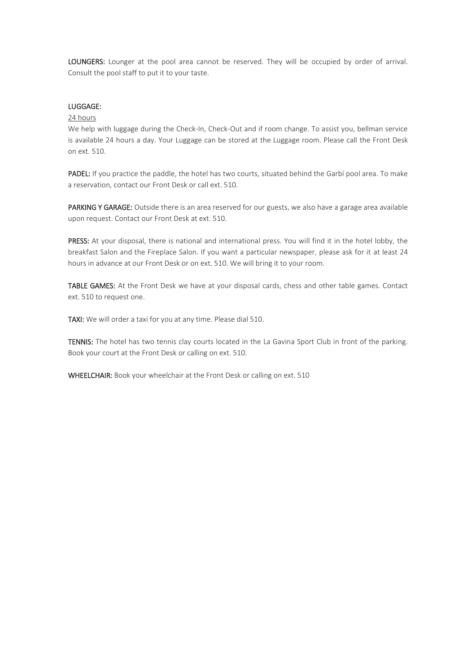LOUNGERS: Lounger at the pool area cannot be reserved. They will be occupied by order of arrival. Consult the pool staff to put it to your taste.

#### LUGGAGE:

### 24 hours

We help with luggage during the Check-In, Check-Out and if room change. To assist you, bellman service is available 24 hours a day. Your Luggage can be stored at the Luggage room. Please call the Front Desk on ext. 510.

PADEL: If you practice the paddle, the hotel has two courts, situated behind the Garbí pool area. To make a reservation, contact our Front Desk or call ext. 510.

PARKING Y GARAGE: Outside there is an area reserved for our guests, we also have a garage area available upon request. Contact our Front Desk at ext. 510.

PRESS: At your disposal, there is national and international press. You will find it in the hotel lobby, the breakfast Salon and the Fireplace Salon. If you want a particular newspaper, please ask for it at least 24 hours in advance at our Front Desk or on ext. 510. We will bring it to your room.

TABLE GAMES: At the Front Desk we have at your disposal cards, chess and other table games. Contact ext. 510 to request one.

TAXI: We will order a taxi for you at any time. Please dial 510.

TENNIS: The hotel has two tennis clay courts located in the La Gavina Sport Club in front of the parking. Book your court at the Front Desk or calling on ext. 510.

WHEELCHAIR: Book your wheelchair at the Front Desk or calling on ext. 510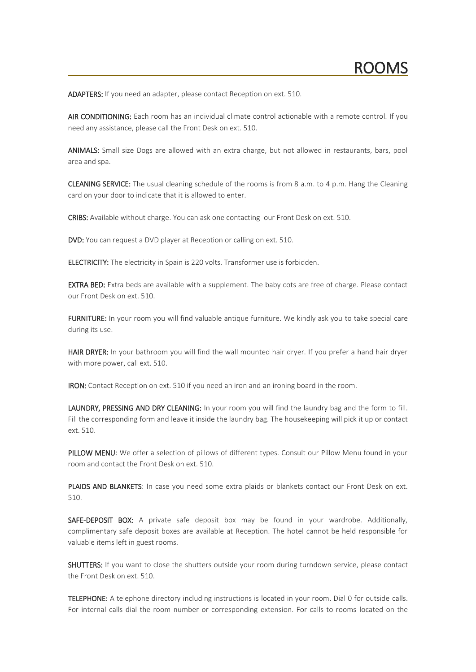ADAPTERS: If you need an adapter, please contact Reception on ext. 510.

AIR CONDITIONING: Each room has an individual climate control actionable with a remote control. If you need any assistance, please call the Front Desk on ext. 510.

ANIMALS: Small size Dogs are allowed with an extra charge, but not allowed in restaurants, bars, pool area and spa.

CLEANING SERVICE: The usual cleaning schedule of the rooms is from 8 a.m. to 4 p.m. Hang the Cleaning card on your door to indicate that it is allowed to enter.

CRIBS: Available without charge. You can ask one contacting our Front Desk on ext. 510.

DVD: You can request a DVD player at Reception or calling on ext. 510.

ELECTRICITY: The electricity in Spain is 220 volts. Transformer use is forbidden.

**EXTRA BED:** Extra beds are available with a supplement. The baby cots are free of charge. Please contact our Front Desk on ext. 510.

FURNITURE: In your room you will find valuable antique furniture. We kindly ask you to take special care during its use.

HAIR DRYER: In your bathroom you will find the wall mounted hair dryer. If you prefer a hand hair dryer with more power, call ext. 510.

IRON: Contact Reception on ext. 510 if you need an iron and an ironing board in the room.

LAUNDRY, PRESSING AND DRY CLEANING: In your room you will find the laundry bag and the form to fill. Fill the corresponding form and leave it inside the laundry bag. The housekeeping will pick it up or contact ext. 510.

PILLOW MENU: We offer a selection of pillows of different types. Consult our Pillow Menu found in your room and contact the Front Desk on ext. 510.

PLAIDS AND BLANKETS: In case you need some extra plaids or blankets contact our Front Desk on ext. 510.

SAFE-DEPOSIT BOX: A private safe deposit box may be found in your wardrobe. Additionally, complimentary safe deposit boxes are available at Reception. The hotel cannot be held responsible for valuable items left in guest rooms.

SHUTTERS: If you want to close the shutters outside your room during turndown service, please contact the Front Desk on ext. 510.

TELEPHONE: A telephone directory including instructions is located in your room. Dial 0 for outside calls. For internal calls dial the room number or corresponding extension. For calls to rooms located on the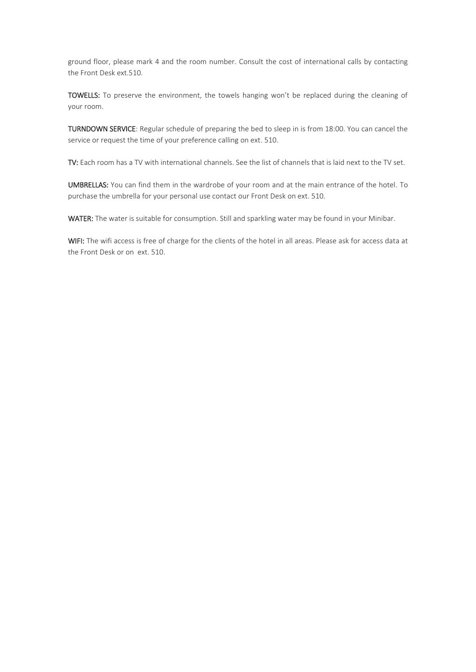ground floor, please mark 4 and the room number. Consult the cost of international calls by contacting the Front Desk ext.510.

TOWELLS: To preserve the environment, the towels hanging won't be replaced during the cleaning of your room.

TURNDOWN SERVICE: Regular schedule of preparing the bed to sleep in is from 18:00. You can cancel the service or request the time of your preference calling on ext. 510.

TV: Each room has a TV with international channels. See the list of channels that is laid next to the TV set.

UMBRELLAS: You can find them in the wardrobe of your room and at the main entrance of the hotel. To purchase the umbrella for your personal use contact our Front Desk on ext. 510.

WATER: The water is suitable for consumption. Still and sparkling water may be found in your Minibar.

WIFI: The wifi access is free of charge for the clients of the hotel in all areas. Please ask for access data at the Front Desk or on ext. 510.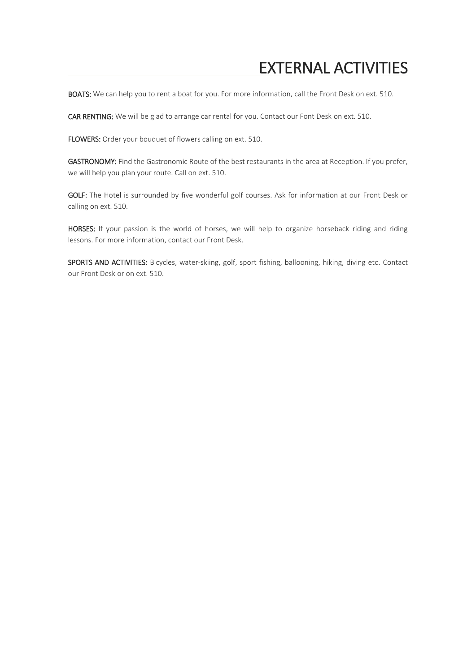# EXTERNAL ACTIVITIES

BOATS: We can help you to rent a boat for you. For more information, call the Front Desk on ext. 510.

CAR RENTING: We will be glad to arrange car rental for you. Contact our Font Desk on ext. 510.

FLOWERS: Order your bouquet of flowers calling on ext. 510.

GASTRONOMY: Find the Gastronomic Route of the best restaurants in the area at Reception. If you prefer, we will help you plan your route. Call on ext. 510.

GOLF: The Hotel is surrounded by five wonderful golf courses. Ask for information at our Front Desk or calling on ext. 510.

HORSES: If your passion is the world of horses, we will help to organize horseback riding and riding lessons. For more information, contact our Front Desk.

SPORTS AND ACTIVITIES: Bicycles, water-skiing, golf, sport fishing, ballooning, hiking, diving etc. Contact our Front Desk or on ext. 510.